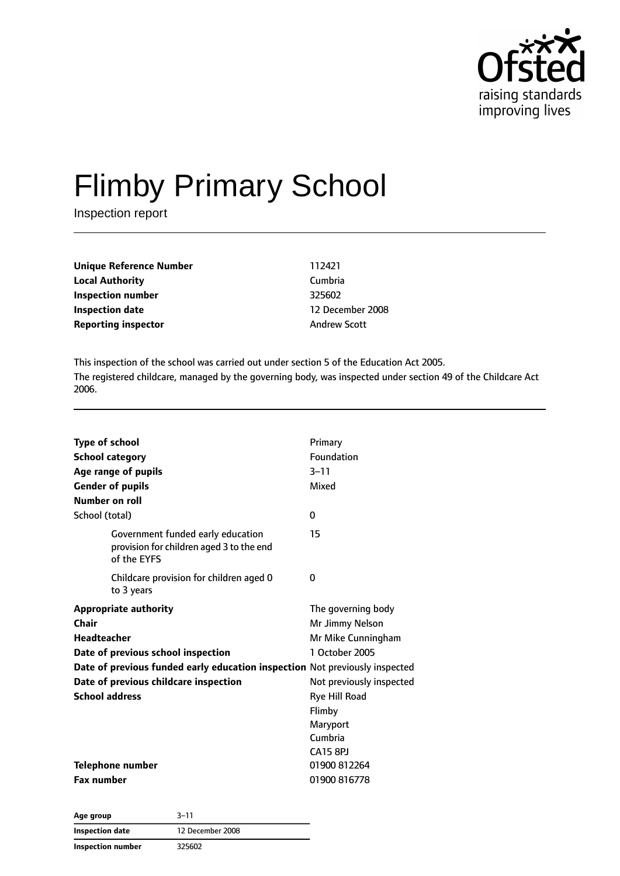

# Flimby Primary School

Inspection report

| Unique Reference Number    | 112421              |
|----------------------------|---------------------|
| Local Authority            | Cumbria             |
| Inspection number          | 325602              |
| Inspection date            | 12 December 2008    |
| <b>Reporting inspector</b> | <b>Andrew Scott</b> |
|                            |                     |

This inspection of the school was carried out under section 5 of the Education Act 2005. The registered childcare, managed by the governing body, was inspected under section 49 of the Childcare Act 2006.

| <b>Type of school</b><br><b>School category</b><br>Age range of pupils<br><b>Gender of pupils</b><br>Number on roll<br>School (total)                                                                                                       | Primary<br>Foundation<br>$3 - 11$<br>Mixed<br>0                                                                                                                                |
|---------------------------------------------------------------------------------------------------------------------------------------------------------------------------------------------------------------------------------------------|--------------------------------------------------------------------------------------------------------------------------------------------------------------------------------|
| Government funded early education<br>provision for children aged 3 to the end<br>of the EYFS                                                                                                                                                | 15                                                                                                                                                                             |
| Childcare provision for children aged 0<br>to 3 years                                                                                                                                                                                       | 0                                                                                                                                                                              |
| <b>Appropriate authority</b><br>Chair<br>Headteacher<br>Date of previous school inspection<br>Date of previous funded early education inspection Not previously inspected<br>Date of previous childcare inspection<br><b>School address</b> | The governing body<br>Mr Jimmy Nelson<br>Mr Mike Cunningham<br>1 October 2005<br>Not previously inspected<br>Rye Hill Road<br>Flimby<br>Maryport<br>Cumbria<br><b>CA15 8PJ</b> |
| Telephone number<br><b>Fax number</b>                                                                                                                                                                                                       | 01900 812264<br>01900 816778                                                                                                                                                   |

**Age group** 3–11 **Inspection date** 12 December 2008 **Inspection number** 325602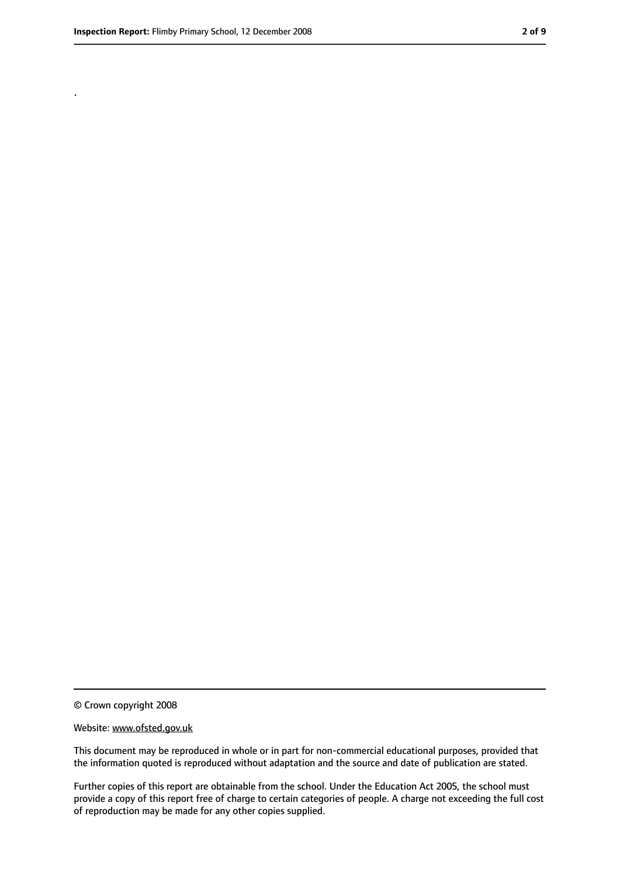.

<sup>©</sup> Crown copyright 2008

Website: www.ofsted.gov.uk

This document may be reproduced in whole or in part for non-commercial educational purposes, provided that the information quoted is reproduced without adaptation and the source and date of publication are stated.

Further copies of this report are obtainable from the school. Under the Education Act 2005, the school must provide a copy of this report free of charge to certain categories of people. A charge not exceeding the full cost of reproduction may be made for any other copies supplied.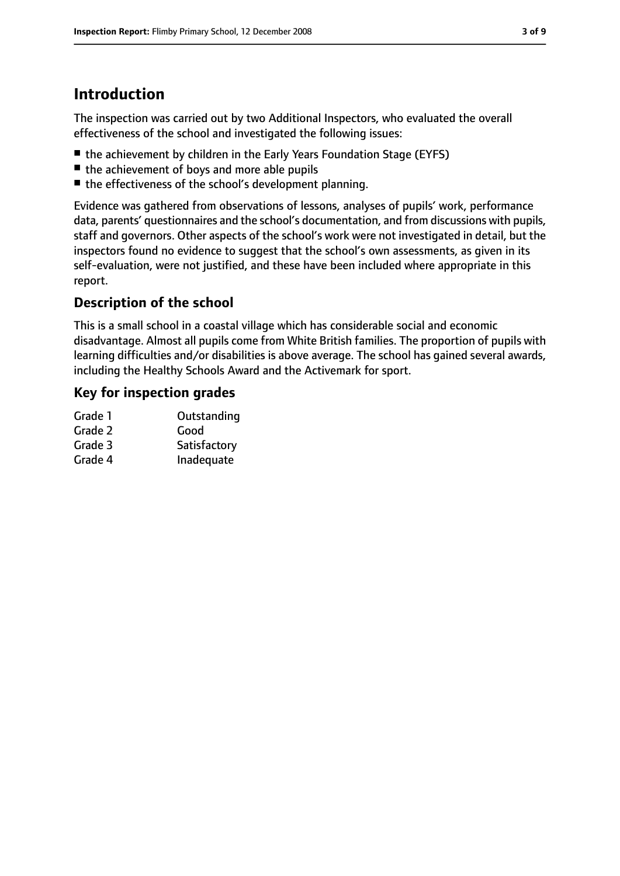# **Introduction**

The inspection was carried out by two Additional Inspectors, who evaluated the overall effectiveness of the school and investigated the following issues:

- the achievement by children in the Early Years Foundation Stage (EYFS)
- the achievement of boys and more able pupils
- the effectiveness of the school's development planning.

Evidence was gathered from observations of lessons, analyses of pupils' work, performance data, parents' questionnaires and the school's documentation, and from discussions with pupils, staff and governors. Other aspects of the school's work were not investigated in detail, but the inspectors found no evidence to suggest that the school's own assessments, as given in its self-evaluation, were not justified, and these have been included where appropriate in this report.

### **Description of the school**

This is a small school in a coastal village which has considerable social and economic disadvantage. Almost all pupils come from White British families. The proportion of pupils with learning difficulties and/or disabilities is above average. The school has gained several awards, including the Healthy Schools Award and the Activemark for sport.

#### **Key for inspection grades**

| Grade 1 | Outstanding  |
|---------|--------------|
| Grade 2 | Good         |
| Grade 3 | Satisfactory |
| Grade 4 | Inadequate   |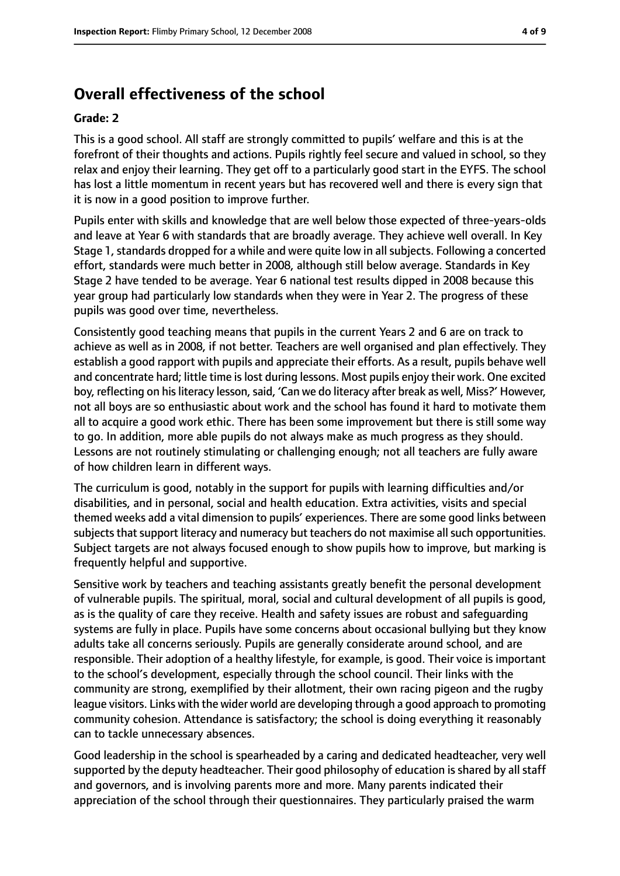## **Overall effectiveness of the school**

#### **Grade: 2**

This is a good school. All staff are strongly committed to pupils' welfare and this is at the forefront of their thoughts and actions. Pupils rightly feel secure and valued in school, so they relax and enjoy their learning. They get off to a particularly good start in the EYFS. The school has lost a little momentum in recent years but has recovered well and there is every sign that it is now in a good position to improve further.

Pupils enter with skills and knowledge that are well below those expected of three-years-olds and leave at Year 6 with standards that are broadly average. They achieve well overall. In Key Stage 1, standards dropped for a while and were quite low in all subjects. Following a concerted effort, standards were much better in 2008, although still below average. Standards in Key Stage 2 have tended to be average. Year 6 national test results dipped in 2008 because this year group had particularly low standards when they were in Year 2. The progress of these pupils was good over time, nevertheless.

Consistently good teaching means that pupils in the current Years 2 and 6 are on track to achieve as well as in 2008, if not better. Teachers are well organised and plan effectively. They establish a good rapport with pupils and appreciate their efforts. As a result, pupils behave well and concentrate hard; little time is lost during lessons. Most pupils enjoy their work. One excited boy, reflecting on his literacy lesson, said, 'Can we do literacy after break as well, Miss?' However, not all boys are so enthusiastic about work and the school has found it hard to motivate them all to acquire a good work ethic. There has been some improvement but there is still some way to go. In addition, more able pupils do not always make as much progress as they should. Lessons are not routinely stimulating or challenging enough; not all teachers are fully aware of how children learn in different ways.

The curriculum is good, notably in the support for pupils with learning difficulties and/or disabilities, and in personal, social and health education. Extra activities, visits and special themed weeks add a vital dimension to pupils' experiences. There are some good links between subjects that support literacy and numeracy but teachers do not maximise all such opportunities. Subject targets are not always focused enough to show pupils how to improve, but marking is frequently helpful and supportive.

Sensitive work by teachers and teaching assistants greatly benefit the personal development of vulnerable pupils. The spiritual, moral, social and cultural development of all pupils is good, as is the quality of care they receive. Health and safety issues are robust and safeguarding systems are fully in place. Pupils have some concerns about occasional bullying but they know adults take all concerns seriously. Pupils are generally considerate around school, and are responsible. Their adoption of a healthy lifestyle, for example, is good. Their voice is important to the school's development, especially through the school council. Their links with the community are strong, exemplified by their allotment, their own racing pigeon and the rugby league visitors. Links with the wider world are developing through a good approach to promoting community cohesion. Attendance is satisfactory; the school is doing everything it reasonably can to tackle unnecessary absences.

Good leadership in the school is spearheaded by a caring and dedicated headteacher, very well supported by the deputy headteacher. Their good philosophy of education is shared by all staff and governors, and is involving parents more and more. Many parents indicated their appreciation of the school through their questionnaires. They particularly praised the warm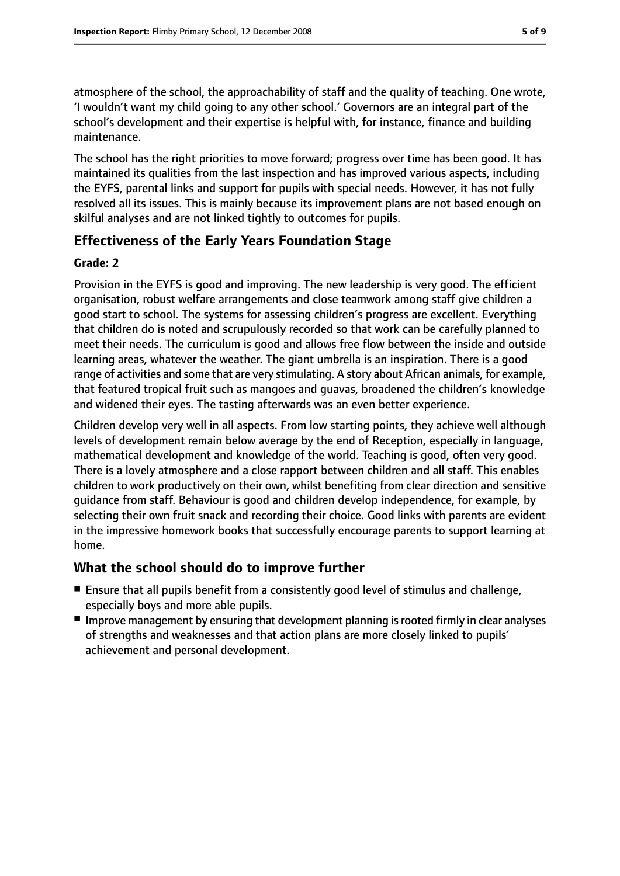atmosphere of the school, the approachability of staff and the quality of teaching. One wrote, 'I wouldn't want my child going to any other school.' Governors are an integral part of the school's development and their expertise is helpful with, for instance, finance and building maintenance.

The school has the right priorities to move forward; progress over time has been good. It has maintained its qualities from the last inspection and has improved various aspects, including the EYFS, parental links and support for pupils with special needs. However, it has not fully resolved all its issues. This is mainly because its improvement plans are not based enough on skilful analyses and are not linked tightly to outcomes for pupils.

### **Effectiveness of the Early Years Foundation Stage**

#### **Grade: 2**

Provision in the EYFS is good and improving. The new leadership is very good. The efficient organisation, robust welfare arrangements and close teamwork among staff give children a good start to school. The systems for assessing children's progress are excellent. Everything that children do is noted and scrupulously recorded so that work can be carefully planned to meet their needs. The curriculum is good and allows free flow between the inside and outside learning areas, whatever the weather. The giant umbrella is an inspiration. There is a good range of activities and some that are very stimulating. A story about African animals, for example, that featured tropical fruit such as mangoes and guavas, broadened the children's knowledge and widened their eyes. The tasting afterwards was an even better experience.

Children develop very well in all aspects. From low starting points, they achieve well although levels of development remain below average by the end of Reception, especially in language, mathematical development and knowledge of the world. Teaching is good, often very good. There is a lovely atmosphere and a close rapport between children and all staff. This enables children to work productively on their own, whilst benefiting from clear direction and sensitive guidance from staff. Behaviour is good and children develop independence, for example, by selecting their own fruit snack and recording their choice. Good links with parents are evident in the impressive homework books that successfully encourage parents to support learning at home.

#### **What the school should do to improve further**

- Ensure that all pupils benefit from a consistently good level of stimulus and challenge, especially boys and more able pupils.
- Improve management by ensuring that development planning is rooted firmly in clear analyses of strengths and weaknesses and that action plans are more closely linked to pupils' achievement and personal development.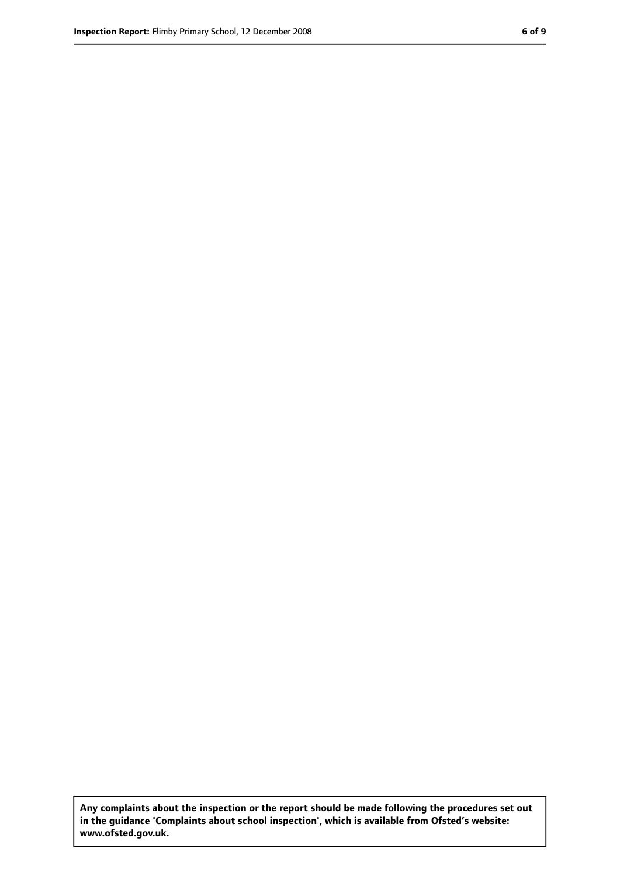**Any complaints about the inspection or the report should be made following the procedures set out in the guidance 'Complaints about school inspection', which is available from Ofsted's website: www.ofsted.gov.uk.**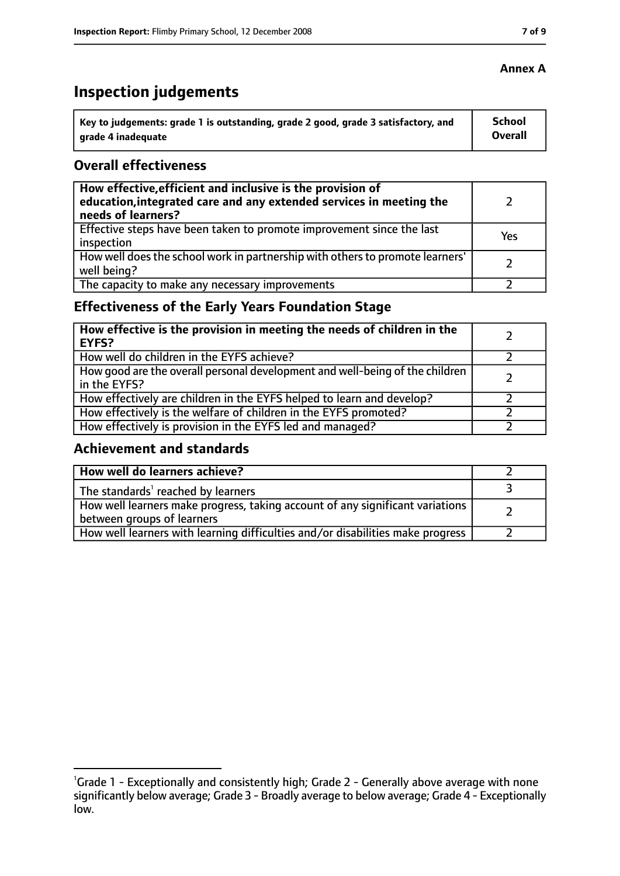# **Inspection judgements**

| \ Key to judgements: grade 1 is outstanding, grade 2 good, grade 3 satisfactory, and | <b>School</b>  |
|--------------------------------------------------------------------------------------|----------------|
| arade 4 inadequate                                                                   | <b>Overall</b> |

#### **Overall effectiveness**

| How effective, efficient and inclusive is the provision of<br>education, integrated care and any extended services in meeting the<br>needs of learners? |     |
|---------------------------------------------------------------------------------------------------------------------------------------------------------|-----|
| Effective steps have been taken to promote improvement since the last<br>inspection                                                                     | Yes |
| How well does the school work in partnership with others to promote learners'<br>well being?                                                            |     |
| The capacity to make any necessary improvements                                                                                                         |     |

## **Effectiveness of the Early Years Foundation Stage**

| How effective is the provision in meeting the needs of children in the<br>EYFS?              |  |
|----------------------------------------------------------------------------------------------|--|
| How well do children in the EYFS achieve?                                                    |  |
| How good are the overall personal development and well-being of the children<br>in the EYFS? |  |
| How effectively are children in the EYFS helped to learn and develop?                        |  |
| How effectively is the welfare of children in the EYFS promoted?                             |  |
| How effectively is provision in the EYFS led and managed?                                    |  |

#### **Achievement and standards**

| How well do learners achieve?                                                                               |  |
|-------------------------------------------------------------------------------------------------------------|--|
| The standards <sup>1</sup> reached by learners                                                              |  |
| How well learners make progress, taking account of any significant variations<br>between groups of learners |  |
| How well learners with learning difficulties and/or disabilities make progress                              |  |

#### **Annex A**

<sup>&</sup>lt;sup>1</sup>Grade 1 - Exceptionally and consistently high; Grade 2 - Generally above average with none significantly below average; Grade 3 - Broadly average to below average; Grade 4 - Exceptionally low.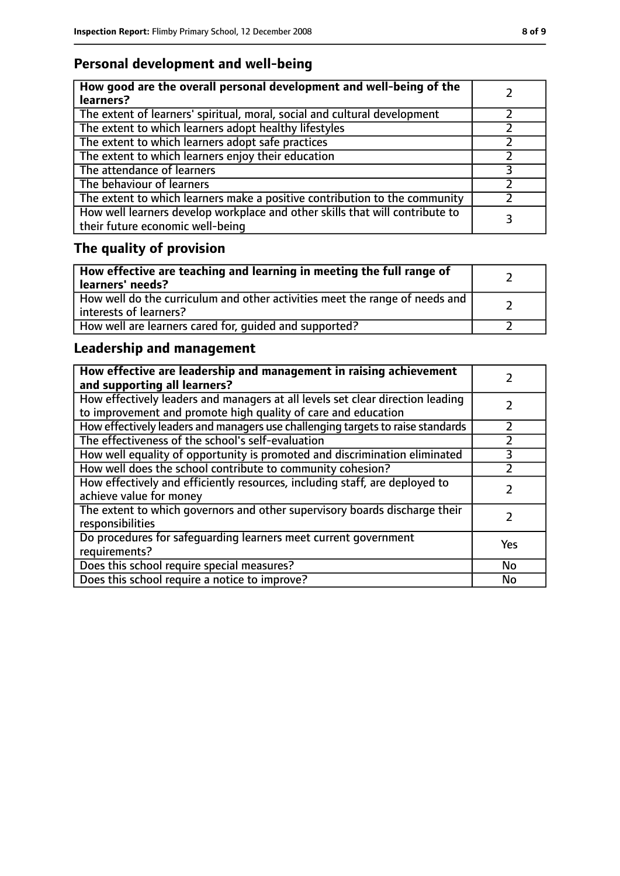## **Personal development and well-being**

| How good are the overall personal development and well-being of the<br>learners?                                 |  |
|------------------------------------------------------------------------------------------------------------------|--|
| The extent of learners' spiritual, moral, social and cultural development                                        |  |
| The extent to which learners adopt healthy lifestyles                                                            |  |
| The extent to which learners adopt safe practices                                                                |  |
| The extent to which learners enjoy their education                                                               |  |
| The attendance of learners                                                                                       |  |
| The behaviour of learners                                                                                        |  |
| The extent to which learners make a positive contribution to the community                                       |  |
| How well learners develop workplace and other skills that will contribute to<br>their future economic well-being |  |

# **The quality of provision**

| How effective are teaching and learning in meeting the full range of<br>learners' needs?              |  |
|-------------------------------------------------------------------------------------------------------|--|
| How well do the curriculum and other activities meet the range of needs and<br>interests of learners? |  |
| How well are learners cared for, quided and supported?                                                |  |

## **Leadership and management**

| How effective are leadership and management in raising achievement<br>and supporting all learners?                                              |     |
|-------------------------------------------------------------------------------------------------------------------------------------------------|-----|
| How effectively leaders and managers at all levels set clear direction leading<br>to improvement and promote high quality of care and education |     |
| How effectively leaders and managers use challenging targets to raise standards                                                                 |     |
| The effectiveness of the school's self-evaluation                                                                                               |     |
| How well equality of opportunity is promoted and discrimination eliminated                                                                      |     |
| How well does the school contribute to community cohesion?                                                                                      |     |
| How effectively and efficiently resources, including staff, are deployed to<br>achieve value for money                                          |     |
| The extent to which governors and other supervisory boards discharge their<br>responsibilities                                                  |     |
| Do procedures for safequarding learners meet current government<br>requirements?                                                                | Yes |
| Does this school require special measures?                                                                                                      | No  |
| Does this school require a notice to improve?                                                                                                   | No  |